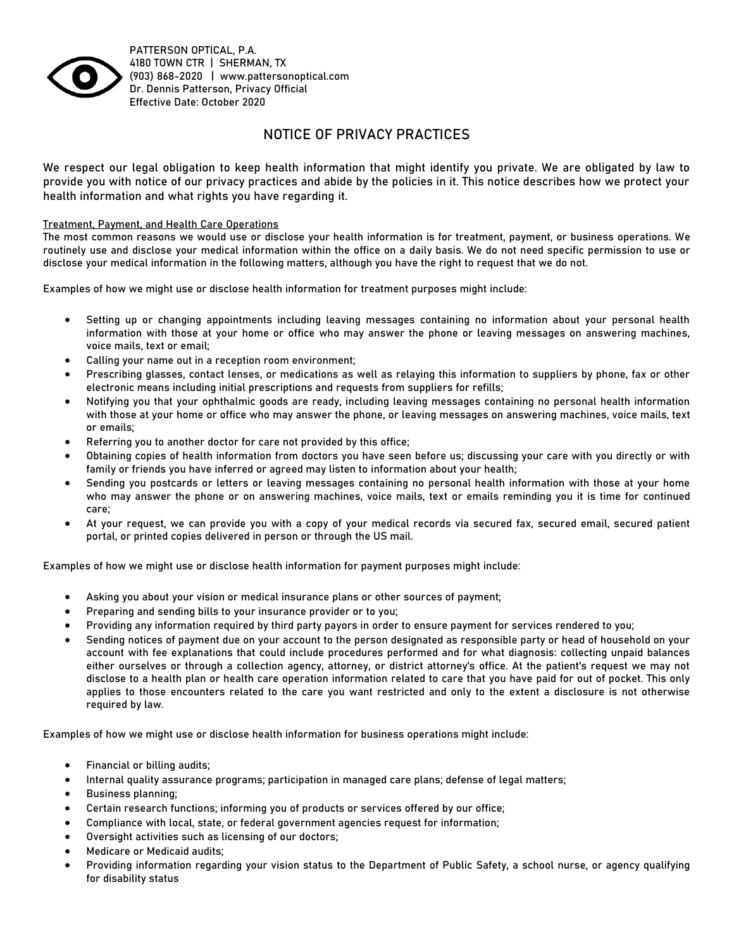

**PATTERSON OPTICAL, P.A.** 4180 TOWN CTR | SHERMAN, TX (903) 868-2020 | www.pattersonoptical.com Dr. Dennis Patterson, Privacy Official Effective Date: October 2020

# **NOTICE OF PRIVACY PRACTICES**

**We respect our legal obligation to keep health information that might identify you private. We are obligated by law to provide you with notice of our privacy practices and abide by the policies in it. This notice describes how we protect your health information and what rights you have regarding it.**

## **Treatment, Payment, and Health Care Operations**

The most common reasons we would use or disclose your health information is for treatment, payment, or business operations. We routinely use and disclose your medical information within the office on a daily basis. We do not need specific permission to use or disclose your medical information in the following matters, although you have the right to request that we do not.

Examples of how we might use or disclose health information for treatment purposes might include:

- Setting up or changing appointments including leaving messages containing no information about your personal health information with those at your home or office who may answer the phone or leaving messages on answering machines, voice mails, text or email;
- Calling your name out in a reception room environment;
- Prescribing glasses, contact lenses, or medications as well as relaying this information to suppliers by phone, fax or other electronic means including initial prescriptions and requests from suppliers for refills;
- Notifying you that your ophthalmic goods are ready, including leaving messages containing no personal health information with those at your home or office who may answer the phone, or leaving messages on answering machines, voice mails, text or emails;
- Referring you to another doctor for care not provided by this office;
- Obtaining copies of health information from doctors you have seen before us; discussing your care with you directly or with family or friends you have inferred or agreed may listen to information about your health;
- Sending you postcards or letters or leaving messages containing no personal health information with those at your home who may answer the phone or on answering machines, voice mails, text or emails reminding you it is time for continued care;
- At your request, we can provide you with a copy of your medical records via secured fax, secured email, secured patient portal, or printed copies delivered in person or through the US mail.

Examples of how we might use or disclose health information for payment purposes might include:

- Asking you about your vision or medical insurance plans or other sources of payment;
- Preparing and sending bills to your insurance provider or to you;
- Providing any information required by third party payors in order to ensure payment for services rendered to you;
- Sending notices of payment due on your account to the person designated as responsible party or head of household on your account with fee explanations that could include procedures performed and for what diagnosis: collecting unpaid balances either ourselves or through a collection agency, attorney, or district attorney's office. At the patient's request we may not disclose to a health plan or health care operation information related to care that you have paid for out of pocket. This only applies to those encounters related to the care you want restricted and only to the extent a disclosure is not otherwise required by law.

Examples of how we might use or disclose health information for business operations might include:

- Financial or billing audits;
- Internal quality assurance programs; participation in managed care plans; defense of legal matters;
- Business planning;
- Certain research functions; informing you of products or services offered by our office;
- Compliance with local, state, or federal government agencies request for information;
- Oversight activities such as licensing of our doctors;
- Medicare or Medicaid audits;
- Providing information regarding your vision status to the Department of Public Safety, a school nurse, or agency qualifying for disability status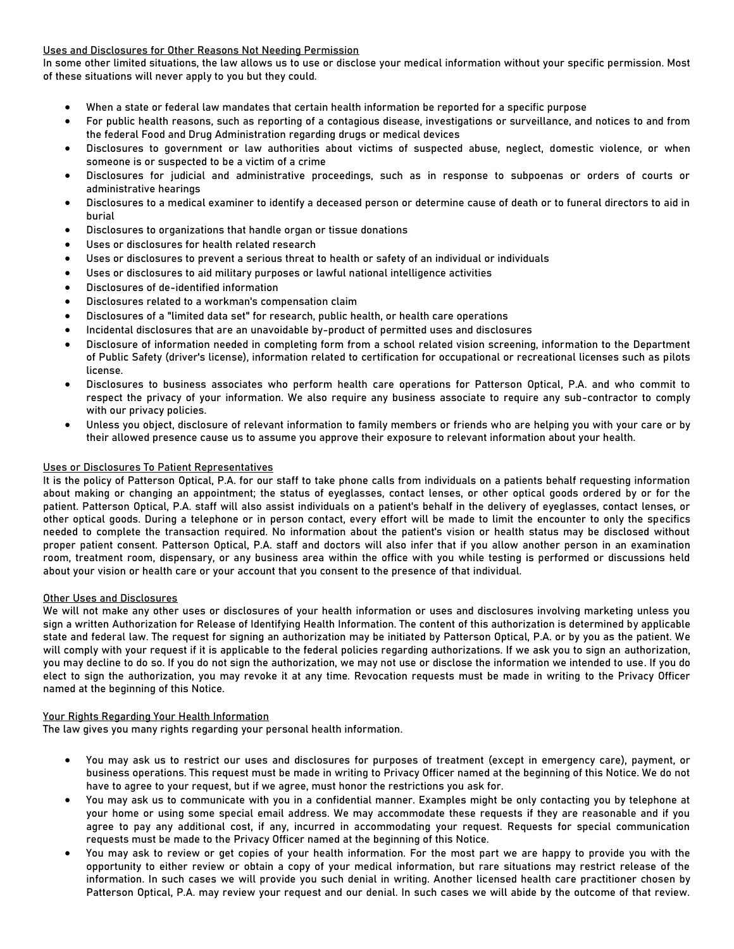# **Uses and Disclosures for Other Reasons Not Needing Permission**

In some other limited situations, the law allows us to use or disclose your medical information without your specific permission. Most of these situations will never apply to you but they could.

- When a state or federal law mandates that certain health information be reported for a specific purpose
- For public health reasons, such as reporting of a contagious disease, investigations or surveillance, and notices to and from the federal Food and Drug Administration regarding drugs or medical devices
- Disclosures to government or law authorities about victims of suspected abuse, neglect, domestic violence, or when someone is or suspected to be a victim of a crime
- Disclosures for judicial and administrative proceedings, such as in response to subpoenas or orders of courts or administrative hearings
- Disclosures to a medical examiner to identify a deceased person or determine cause of death or to funeral directors to aid in burial
- Disclosures to organizations that handle organ or tissue donations
- Uses or disclosures for health related research
- Uses or disclosures to prevent a serious threat to health or safety of an individual or individuals
- Uses or disclosures to aid military purposes or lawful national intelligence activities
- Disclosures of de-identified information
- Disclosures related to a workman's compensation claim
- Disclosures of a "limited data set" for research, public health, or health care operations
- Incidental disclosures that are an unavoidable by-product of permitted uses and disclosures
- Disclosure of information needed in completing form from a school related vision screening, information to the Department of Public Safety (driver's license), information related to certification for occupational or recreational licenses such as pilots license.
- Disclosures to business associates who perform health care operations for Patterson Optical, P.A. and who commit to respect the privacy of your information. We also require any business associate to require any sub-contractor to comply with our privacy policies.
- Unless you object, disclosure of relevant information to family members or friends who are helping you with your care or by their allowed presence cause us to assume you approve their exposure to relevant information about your health.

# **Uses or Disclosures To Patient Representatives**

It is the policy of Patterson Optical, P.A. for our staff to take phone calls from individuals on a patients behalf requesting information about making or changing an appointment; the status of eyeglasses, contact lenses, or other optical goods ordered by or for the patient. Patterson Optical, P.A. staff will also assist individuals on a patient's behalf in the delivery of eyeglasses, contact lenses, or other optical goods. During a telephone or in person contact, every effort will be made to limit the encounter to only the specifics needed to complete the transaction required. No information about the patient's vision or health status may be disclosed without proper patient consent. Patterson Optical, P.A. staff and doctors will also infer that if you allow another person in an examination room, treatment room, dispensary, or any business area within the office with you while testing is performed or discussions held about your vision or health care or your account that you consent to the presence of that individual.

### **Other Uses and Disclosures**

We will not make any other uses or disclosures of your health information or uses and disclosures involving marketing unless you sign a written Authorization for Release of Identifying Health Information. The content of this authorization is determined by applicable state and federal law. The request for signing an authorization may be initiated by Patterson Optical, P.A. or by you as the patient. We will comply with your request if it is applicable to the federal policies regarding authorizations. If we ask you to sign an authorization, you may decline to do so. If you do not sign the authorization, we may not use or disclose the information we intended to use. If you do elect to sign the authorization, you may revoke it at any time. Revocation requests must be made in writing to the Privacy Officer named at the beginning of this Notice.

### **Your Rights Regarding Your Health Information**

The law gives you many rights regarding your personal health information.

- You may ask us to restrict our uses and disclosures for purposes of treatment (except in emergency care), payment, or business operations. This request must be made in writing to Privacy Officer named at the beginning of this Notice. We do not have to agree to your request, but if we agree, must honor the restrictions you ask for.
- You may ask us to communicate with you in a confidential manner. Examples might be only contacting you by telephone at your home or using some special email address. We may accommodate these requests if they are reasonable and if you agree to pay any additional cost, if any, incurred in accommodating your request. Requests for special communication requests must be made to the Privacy Officer named at the beginning of this Notice.
- You may ask to review or get copies of your health information. For the most part we are happy to provide you with the opportunity to either review or obtain a copy of your medical information, but rare situations may restrict release of the information. In such cases we will provide you such denial in writing. Another licensed health care practitioner chosen by Patterson Optical, P.A. may review your request and our denial. In such cases we will abide by the outcome of that review.